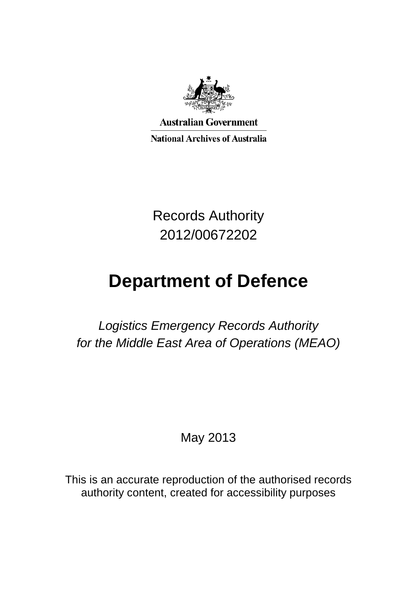

**Australian Government** 

**National Archives of Australia** 

Records Authority 2012/00672202

# **Department of Defence**

*Logistics Emergency Records Authority for the Middle East Area of Operations (MEAO)*

May 2013

This is an accurate reproduction of the authorised records authority content, created for accessibility purposes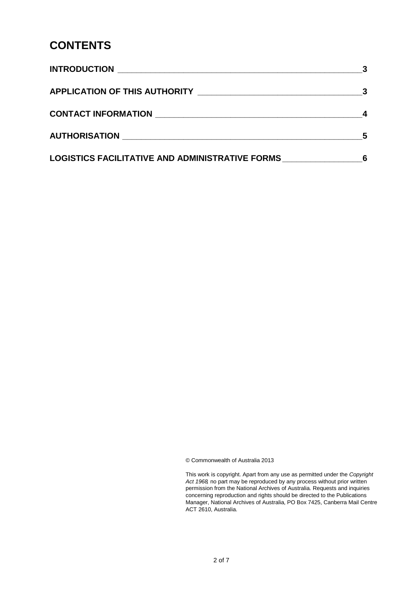# **CONTENTS**

|                                                 | $\overline{\mathbf{3}}$ |
|-------------------------------------------------|-------------------------|
|                                                 |                         |
|                                                 |                         |
| LOGISTICS FACILITATIVE AND ADMINISTRATIVE FORMS |                         |

© Commonwealth of Australia 2013

This work is copyright. Apart from any use as permitted under the *Copyright Act 1968,* no part may be reproduced by any process without prior written permission from the National Archives of Australia. Requests and inquiries concerning reproduction and rights should be directed to the Publications Manager, National Archives of Australia, PO Box 7425, Canberra Mail Centre ACT 2610, Australia.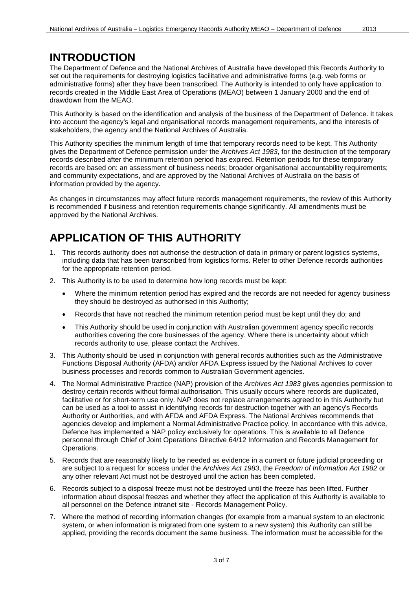## **INTRODUCTION**

The Department of Defence and the National Archives of Australia have developed this Records Authority to set out the requirements for destroying logistics facilitative and administrative forms (e.g. web forms or administrative forms) after they have been transcribed. The Authority is intended to only have application to records created in the Middle East Area of Operations (MEAO) between 1 January 2000 and the end of drawdown from the MEAO.

This Authority is based on the identification and analysis of the business of the Department of Defence. It takes into account the agency's legal and organisational records management requirements, and the interests of stakeholders, the agency and the National Archives of Australia.

This Authority specifies the minimum length of time that temporary records need to be kept. This Authority gives the Department of Defence permission under the *Archives Act 1983*, for the destruction of the temporary records described after the minimum retention period has expired. Retention periods for these temporary records are based on: an assessment of business needs; broader organisational accountability requirements; and community expectations, and are approved by the National Archives of Australia on the basis of information provided by the agency.

As changes in circumstances may affect future records management requirements, the review of this Authority is recommended if business and retention requirements change significantly. All amendments must be approved by the National Archives.

# **APPLICATION OF THIS AUTHORITY**

- 1. This records authority does not authorise the destruction of data in primary or parent logistics systems, including data that has been transcribed from logistics forms. Refer to other Defence records authorities for the appropriate retention period.
- 2. This Authority is to be used to determine how long records must be kept:
	- Where the minimum retention period has expired and the records are not needed for agency business they should be destroyed as authorised in this Authority;
	- Records that have not reached the minimum retention period must be kept until they do; and
	- This Authority should be used in conjunction with Australian government agency specific records authorities covering the core businesses of the agency. Where there is uncertainty about which records authority to use, please contact the Archives.
- 3. This Authority should be used in conjunction with general records authorities such as the Administrative Functions Disposal Authority (AFDA) and/or AFDA Express issued by the National Archives to cover business processes and records common to Australian Government agencies.
- 4. The Normal Administrative Practice (NAP) provision of the *Archives Act 1983* gives agencies permission to destroy certain records without formal authorisation. This usually occurs where records are duplicated, facilitative or for short-term use only. NAP does not replace arrangements agreed to in this Authority but can be used as a tool to assist in identifying records for destruction together with an agency's Records Authority or Authorities, and with AFDA and AFDA Express. The National Archives recommends that agencies develop and implement a Normal Administrative Practice policy. In accordance with this advice, Defence has implemented a NAP policy exclusively for operations. This is available to all Defence personnel through Chief of Joint Operations Directive 64/12 Information and Records Management for Operations.
- 5. Records that are reasonably likely to be needed as evidence in a current or future judicial proceeding or are subject to a request for access under the *Archives Act 1983*, the *Freedom of Information Act 1982* or any other relevant Act must not be destroyed until the action has been completed.
- 6. Records subject to a disposal freeze must not be destroyed until the freeze has been lifted. Further information about disposal freezes and whether they affect the application of this Authority is available to all personnel on the Defence intranet site - Records Management Policy.
- 7. Where the method of recording information changes (for example from a manual system to an electronic system, or when information is migrated from one system to a new system) this Authority can still be applied, providing the records document the same business. The information must be accessible for the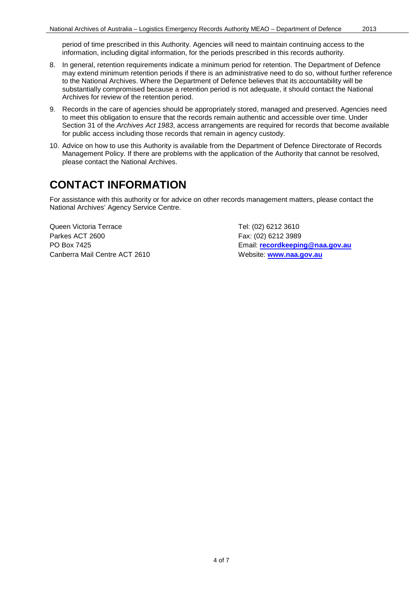period of time prescribed in this Authority. Agencies will need to maintain continuing access to the information, including digital information, for the periods prescribed in this records authority.

- 8. In general, retention requirements indicate a minimum period for retention. The Department of Defence may extend minimum retention periods if there is an administrative need to do so, without further reference to the National Archives. Where the Department of Defence believes that its accountability will be substantially compromised because a retention period is not adequate, it should contact the National Archives for review of the retention period.
- 9. Records in the care of agencies should be appropriately stored, managed and preserved. Agencies need to meet this obligation to ensure that the records remain authentic and accessible over time. Under Section 31 of the *Archives Act 1983*, access arrangements are required for records that become available for public access including those records that remain in agency custody.
- 10. Advice on how to use this Authority is available from the Department of Defence Directorate of Records Management Policy. If there are problems with the application of the Authority that cannot be resolved, please contact the National Archives.

### **CONTACT INFORMATION**

For assistance with this authority or for advice on other records management matters, please contact the National Archives' Agency Service Centre.

Queen Victoria Terrace Tel: (02) 6212 3610 Parkes ACT 2600 Fax: (02) 6212 3989 Canberra Mail Centre ACT 2610 Website: [www.naa.gov.au](http://www.naa.gov.au/)

PO Box 7425 Email: **[recordkeeping@naa.gov.au](mailto:recordkeeping@naa.gov.au)**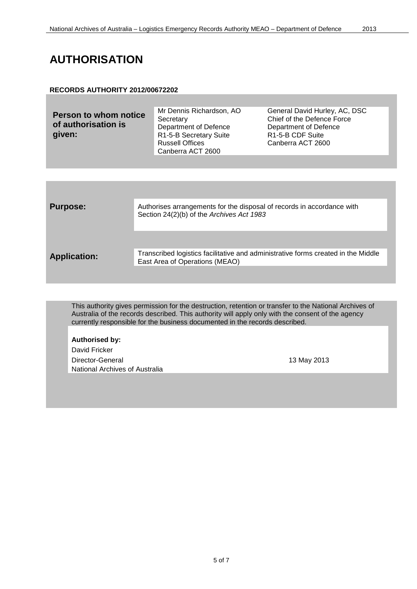# **AUTHORISATION**

#### **RECORDS AUTHORITY 2012/00672202**

| Canberra ACT 2600 | <b>Person to whom notice</b><br>of authorisation is<br>given: | Mr Dennis Richardson, AO<br>Secretary<br>Department of Defence<br>R1-5-B Secretary Suite<br><b>Russell Offices</b> | General David Hurley, AC, DSC<br>Chief of the Defence Force<br>Department of Defence<br>R <sub>1</sub> -5-B CDF Suite<br>Canberra ACT 2600 |
|-------------------|---------------------------------------------------------------|--------------------------------------------------------------------------------------------------------------------|--------------------------------------------------------------------------------------------------------------------------------------------|
|-------------------|---------------------------------------------------------------|--------------------------------------------------------------------------------------------------------------------|--------------------------------------------------------------------------------------------------------------------------------------------|

| <b>Purpose:</b>     | Authorises arrangements for the disposal of records in accordance with<br>Section 24(2)(b) of the Archives Act 1983 |
|---------------------|---------------------------------------------------------------------------------------------------------------------|
|                     |                                                                                                                     |
| <b>Application:</b> | Transcribed logistics facilitative and administrative forms created in the Middle<br>East Area of Operations (MEAO) |
|                     |                                                                                                                     |

This authority gives permission for the destruction, retention or transfer to the National Archives of Australia of the records described. This authority will apply only with the consent of the agency currently responsible for the business documented in the records described.

**Authorised by:** 

David Fricker Director-General 2013 National Archives of Australia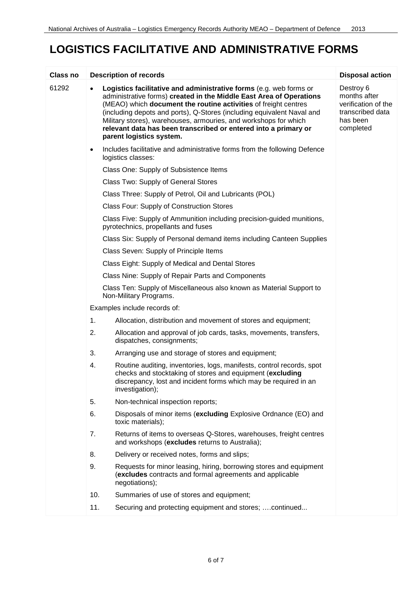# **LOGISTICS FACILITATIVE AND ADMINISTRATIVE FORMS**

| Class no |                              | <b>Description of records</b>                                                                                                                                                                                                                                                                                                                                                                                                                             | <b>Disposal action</b>                                                                        |
|----------|------------------------------|-----------------------------------------------------------------------------------------------------------------------------------------------------------------------------------------------------------------------------------------------------------------------------------------------------------------------------------------------------------------------------------------------------------------------------------------------------------|-----------------------------------------------------------------------------------------------|
| 61292    | $\bullet$                    | Logistics facilitative and administrative forms (e.g. web forms or<br>administrative forms) created in the Middle East Area of Operations<br>(MEAO) which document the routine activities of freight centres<br>(including depots and ports), Q-Stores (including equivalent Naval and<br>Military stores), warehouses, armouries, and workshops for which<br>relevant data has been transcribed or entered into a primary or<br>parent logistics system. | Destroy 6<br>months after<br>verification of the<br>transcribed data<br>has been<br>completed |
|          | $\bullet$                    | Includes facilitative and administrative forms from the following Defence<br>logistics classes:                                                                                                                                                                                                                                                                                                                                                           |                                                                                               |
|          |                              | Class One: Supply of Subsistence Items                                                                                                                                                                                                                                                                                                                                                                                                                    |                                                                                               |
|          |                              | Class Two: Supply of General Stores                                                                                                                                                                                                                                                                                                                                                                                                                       |                                                                                               |
|          |                              | Class Three: Supply of Petrol, Oil and Lubricants (POL)                                                                                                                                                                                                                                                                                                                                                                                                   |                                                                                               |
|          |                              | Class Four: Supply of Construction Stores                                                                                                                                                                                                                                                                                                                                                                                                                 |                                                                                               |
|          |                              | Class Five: Supply of Ammunition including precision-guided munitions,<br>pyrotechnics, propellants and fuses                                                                                                                                                                                                                                                                                                                                             |                                                                                               |
|          |                              | Class Six: Supply of Personal demand items including Canteen Supplies                                                                                                                                                                                                                                                                                                                                                                                     |                                                                                               |
|          |                              | Class Seven: Supply of Principle Items                                                                                                                                                                                                                                                                                                                                                                                                                    |                                                                                               |
|          |                              | Class Eight: Supply of Medical and Dental Stores                                                                                                                                                                                                                                                                                                                                                                                                          |                                                                                               |
|          |                              | Class Nine: Supply of Repair Parts and Components                                                                                                                                                                                                                                                                                                                                                                                                         |                                                                                               |
|          |                              | Class Ten: Supply of Miscellaneous also known as Material Support to<br>Non-Military Programs.                                                                                                                                                                                                                                                                                                                                                            |                                                                                               |
|          | Examples include records of: |                                                                                                                                                                                                                                                                                                                                                                                                                                                           |                                                                                               |
|          | 1.                           | Allocation, distribution and movement of stores and equipment;                                                                                                                                                                                                                                                                                                                                                                                            |                                                                                               |
|          | 2.                           | Allocation and approval of job cards, tasks, movements, transfers,<br>dispatches, consignments;                                                                                                                                                                                                                                                                                                                                                           |                                                                                               |
|          | 3.                           | Arranging use and storage of stores and equipment;                                                                                                                                                                                                                                                                                                                                                                                                        |                                                                                               |
|          | 4.                           | Routine auditing, inventories, logs, manifests, control records, spot<br>checks and stocktaking of stores and equipment (excluding<br>discrepancy, lost and incident forms which may be required in an<br>investigation);                                                                                                                                                                                                                                 |                                                                                               |
|          | 5.                           | Non-technical inspection reports;                                                                                                                                                                                                                                                                                                                                                                                                                         |                                                                                               |
|          | 6.                           | Disposals of minor items (excluding Explosive Ordnance (EO) and<br>toxic materials);                                                                                                                                                                                                                                                                                                                                                                      |                                                                                               |
|          | 7.                           | Returns of items to overseas Q-Stores, warehouses, freight centres<br>and workshops (excludes returns to Australia);                                                                                                                                                                                                                                                                                                                                      |                                                                                               |
|          | 8.                           | Delivery or received notes, forms and slips;                                                                                                                                                                                                                                                                                                                                                                                                              |                                                                                               |
|          | 9.                           | Requests for minor leasing, hiring, borrowing stores and equipment<br>(excludes contracts and formal agreements and applicable<br>negotiations);                                                                                                                                                                                                                                                                                                          |                                                                                               |
|          | 10.                          | Summaries of use of stores and equipment;                                                                                                                                                                                                                                                                                                                                                                                                                 |                                                                                               |
|          | 11.                          | Securing and protecting equipment and stores;  continued                                                                                                                                                                                                                                                                                                                                                                                                  |                                                                                               |